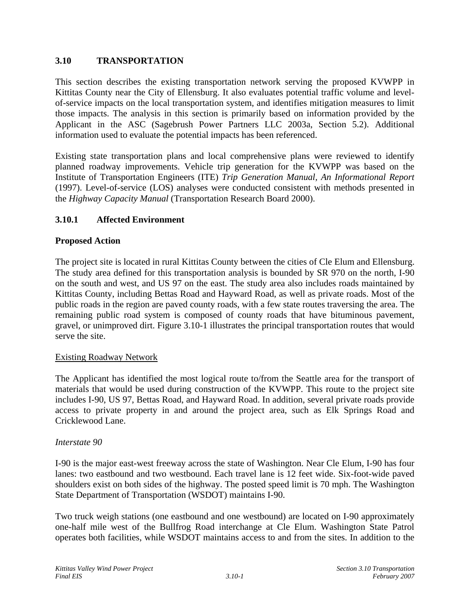# **3.10 TRANSPORTATION**

This section describes the existing transportation network serving the proposed KVWPP in Kittitas County near the City of Ellensburg. It also evaluates potential traffic volume and levelof-service impacts on the local transportation system, and identifies mitigation measures to limit those impacts. The analysis in this section is primarily based on information provided by the Applicant in the ASC (Sagebrush Power Partners LLC 2003a, Section 5.2). Additional information used to evaluate the potential impacts has been referenced.

Existing state transportation plans and local comprehensive plans were reviewed to identify planned roadway improvements. Vehicle trip generation for the KVWPP was based on the Institute of Transportation Engineers (ITE) *Trip Generation Manual, An Informational Report* (1997). Level-of-service (LOS) analyses were conducted consistent with methods presented in the *Highway Capacity Manual* (Transportation Research Board 2000).

# **3.10.1 Affected Environment**

# **Proposed Action**

The project site is located in rural Kittitas County between the cities of Cle Elum and Ellensburg. The study area defined for this transportation analysis is bounded by SR 970 on the north, I-90 on the south and west, and US 97 on the east. The study area also includes roads maintained by Kittitas County, including Bettas Road and Hayward Road, as well as private roads. Most of the public roads in the region are paved county roads, with a few state routes traversing the area. The remaining public road system is composed of county roads that have bituminous pavement, gravel, or unimproved dirt. Figure 3.10-1 illustrates the principal transportation routes that would serve the site.

# Existing Roadway Network

The Applicant has identified the most logical route to/from the Seattle area for the transport of materials that would be used during construction of the KVWPP. This route to the project site includes I-90, US 97, Bettas Road, and Hayward Road. In addition, several private roads provide access to private property in and around the project area, such as Elk Springs Road and Cricklewood Lane.

#### *Interstate 90*

I-90 is the major east-west freeway across the state of Washington. Near Cle Elum, I-90 has four lanes: two eastbound and two westbound. Each travel lane is 12 feet wide. Six-foot-wide paved shoulders exist on both sides of the highway. The posted speed limit is 70 mph. The Washington State Department of Transportation (WSDOT) maintains I-90.

Two truck weigh stations (one eastbound and one westbound) are located on I-90 approximately one-half mile west of the Bullfrog Road interchange at Cle Elum. Washington State Patrol operates both facilities, while WSDOT maintains access to and from the sites. In addition to the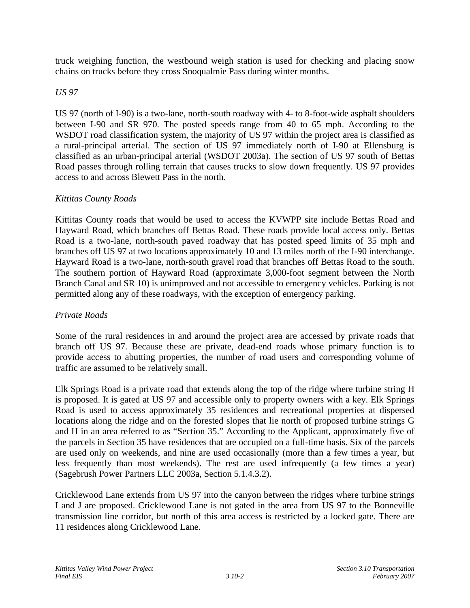truck weighing function, the westbound weigh station is used for checking and placing snow chains on trucks before they cross Snoqualmie Pass during winter months.

# *US 97*

US 97 (north of I-90) is a two-lane, north-south roadway with 4- to 8-foot-wide asphalt shoulders between I-90 and SR 970. The posted speeds range from 40 to 65 mph. According to the WSDOT road classification system, the majority of US 97 within the project area is classified as a rural-principal arterial. The section of US 97 immediately north of I-90 at Ellensburg is classified as an urban-principal arterial (WSDOT 2003a). The section of US 97 south of Bettas Road passes through rolling terrain that causes trucks to slow down frequently. US 97 provides access to and across Blewett Pass in the north.

# *Kittitas County Roads*

Kittitas County roads that would be used to access the KVWPP site include Bettas Road and Hayward Road, which branches off Bettas Road. These roads provide local access only. Bettas Road is a two-lane, north-south paved roadway that has posted speed limits of 35 mph and branches off US 97 at two locations approximately 10 and 13 miles north of the I-90 interchange. Hayward Road is a two-lane, north-south gravel road that branches off Bettas Road to the south. The southern portion of Hayward Road (approximate 3,000-foot segment between the North Branch Canal and SR 10) is unimproved and not accessible to emergency vehicles. Parking is not permitted along any of these roadways, with the exception of emergency parking.

# *Private Roads*

Some of the rural residences in and around the project area are accessed by private roads that branch off US 97. Because these are private, dead-end roads whose primary function is to provide access to abutting properties, the number of road users and corresponding volume of traffic are assumed to be relatively small.

Elk Springs Road is a private road that extends along the top of the ridge where turbine string H is proposed. It is gated at US 97 and accessible only to property owners with a key. Elk Springs Road is used to access approximately 35 residences and recreational properties at dispersed locations along the ridge and on the forested slopes that lie north of proposed turbine strings G and H in an area referred to as "Section 35." According to the Applicant, approximately five of the parcels in Section 35 have residences that are occupied on a full-time basis. Six of the parcels are used only on weekends, and nine are used occasionally (more than a few times a year, but less frequently than most weekends). The rest are used infrequently (a few times a year) (Sagebrush Power Partners LLC 2003a, Section 5.1.4.3.2).

Cricklewood Lane extends from US 97 into the canyon between the ridges where turbine strings I and J are proposed. Cricklewood Lane is not gated in the area from US 97 to the Bonneville transmission line corridor, but north of this area access is restricted by a locked gate. There are 11 residences along Cricklewood Lane.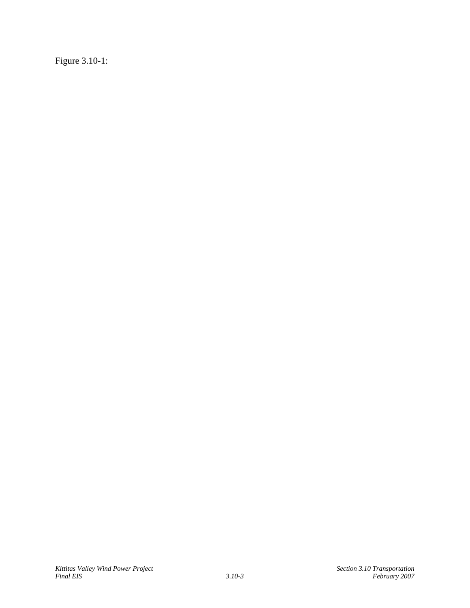Figure 3.10-1: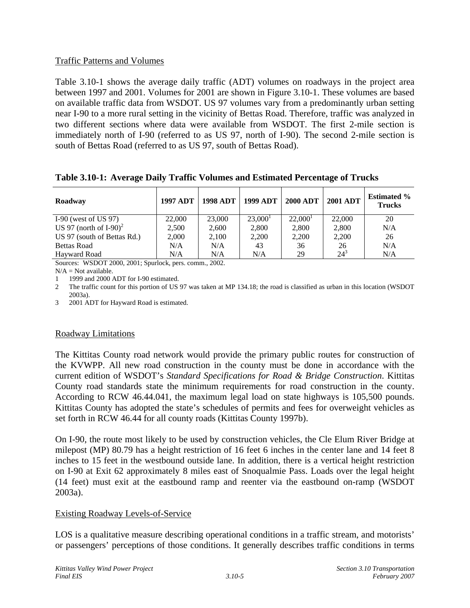### Traffic Patterns and Volumes

Table 3.10-1 shows the average daily traffic (ADT) volumes on roadways in the project area between 1997 and 2001. Volumes for 2001 are shown in Figure 3.10-1. These volumes are based on available traffic data from WSDOT. US 97 volumes vary from a predominantly urban setting near I-90 to a more rural setting in the vicinity of Bettas Road. Therefore, traffic was analyzed in two different sections where data were available from WSDOT. The first 2-mile section is immediately north of I-90 (referred to as US 97, north of I-90). The second 2-mile section is south of Bettas Road (referred to as US 97, south of Bettas Road).

**Table 3.10-1: Average Daily Traffic Volumes and Estimated Percentage of Trucks** 

| Roadway                               | <b>1997 ADT</b> | <b>1998 ADT</b> | <b>1999 ADT</b> | <b>2000 ADT</b> | <b>2001 ADT</b> | <b>Estimated %</b><br><b>Trucks</b> |
|---------------------------------------|-----------------|-----------------|-----------------|-----------------|-----------------|-------------------------------------|
| I-90 (west of US 97)                  | 22,000          | 23,000          | $23,000^1$      | $22,000^1$      | 22,000          | 20                                  |
| US 97 (north of $I-90$ ) <sup>2</sup> | 2,500           | 2,600           | 2,800           | 2,800           | 2,800           | N/A                                 |
| US 97 (south of Bettas Rd.)           | 2,000           | 2,100           | 2,200           | 2,200           | 2,200           | 26                                  |
| <b>Bettas Road</b>                    | N/A             | N/A             | 43              | 36              | 26              | N/A                                 |
| Hayward Road                          | N/A             | N/A             | N/A             | 29              | $24^{3}$        | N/A                                 |

Sources: WSDOT 2000, 2001; Spurlock, pers. comm., 2002.

 $N/A = Not available.$ 

1 1999 and 2000 ADT for I-90 estimated.

2 The traffic count for this portion of US 97 was taken at MP 134.18; the road is classified as urban in this location (WSDOT 2003a).

3 2001 ADT for Hayward Road is estimated.

# Roadway Limitations

The Kittitas County road network would provide the primary public routes for construction of the KVWPP. All new road construction in the county must be done in accordance with the current edition of WSDOT's *Standard Specifications for Road & Bridge Construction*. Kittitas County road standards state the minimum requirements for road construction in the county. According to RCW 46.44.041, the maximum legal load on state highways is 105,500 pounds. Kittitas County has adopted the state's schedules of permits and fees for overweight vehicles as set forth in RCW 46.44 for all county roads (Kittitas County 1997b).

On I-90, the route most likely to be used by construction vehicles, the Cle Elum River Bridge at milepost (MP) 80.79 has a height restriction of 16 feet 6 inches in the center lane and 14 feet 8 inches to 15 feet in the westbound outside lane. In addition, there is a vertical height restriction on I-90 at Exit 62 approximately 8 miles east of Snoqualmie Pass. Loads over the legal height (14 feet) must exit at the eastbound ramp and reenter via the eastbound on-ramp (WSDOT 2003a).

# Existing Roadway Levels-of-Service

LOS is a qualitative measure describing operational conditions in a traffic stream, and motorists' or passengers' perceptions of those conditions. It generally describes traffic conditions in terms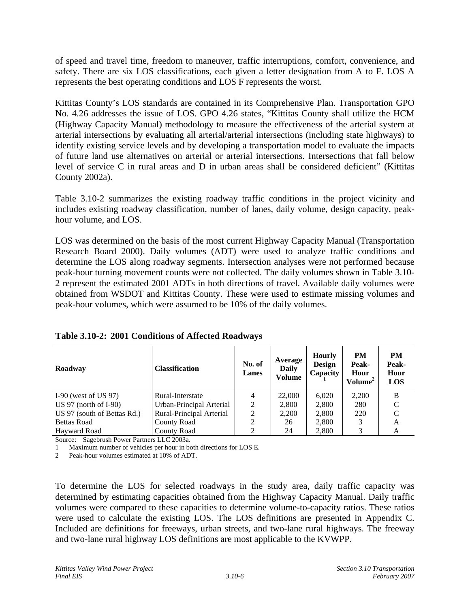of speed and travel time, freedom to maneuver, traffic interruptions, comfort, convenience, and safety. There are six LOS classifications, each given a letter designation from A to F. LOS A represents the best operating conditions and LOS F represents the worst.

Kittitas County's LOS standards are contained in its Comprehensive Plan. Transportation GPO No. 4.26 addresses the issue of LOS. GPO 4.26 states, "Kittitas County shall utilize the HCM (Highway Capacity Manual) methodology to measure the effectiveness of the arterial system at arterial intersections by evaluating all arterial/arterial intersections (including state highways) to identify existing service levels and by developing a transportation model to evaluate the impacts of future land use alternatives on arterial or arterial intersections. Intersections that fall below level of service C in rural areas and D in urban areas shall be considered deficient" (Kittitas County 2002a).

Table 3.10-2 summarizes the existing roadway traffic conditions in the project vicinity and includes existing roadway classification, number of lanes, daily volume, design capacity, peakhour volume, and LOS.

LOS was determined on the basis of the most current Highway Capacity Manual (Transportation Research Board 2000). Daily volumes (ADT) were used to analyze traffic conditions and determine the LOS along roadway segments. Intersection analyses were not performed because peak-hour turning movement counts were not collected. The daily volumes shown in Table 3.10- 2 represent the estimated 2001 ADTs in both directions of travel. Available daily volumes were obtained from WSDOT and Kittitas County. These were used to estimate missing volumes and peak-hour volumes, which were assumed to be 10% of the daily volumes.

| Roadway                     | <b>Classification</b>    | No. of<br><b>Lanes</b> | Average<br>Daily<br>Volume | <b>Hourly</b><br><b>Design</b><br>Capacity | <b>PM</b><br>Peak-<br>Hour<br>Volume <sup>2</sup> | PM<br>Peak-<br>Hour<br><b>LOS</b> |
|-----------------------------|--------------------------|------------------------|----------------------------|--------------------------------------------|---------------------------------------------------|-----------------------------------|
| I-90 (west of US $97$ )     | Rural-Interstate         |                        | 22,000                     | 6,020                                      | 2,200                                             | B                                 |
| US 97 (north of $I-90$ )    | Urban-Principal Arterial | 2                      | 2,800                      | 2,800                                      | 280                                               | C                                 |
| US 97 (south of Bettas Rd.) | Rural-Principal Arterial |                        | 2.200                      | 2,800                                      | 220                                               | C                                 |
| <b>Bettas Road</b>          | <b>County Road</b>       | ◠                      | 26                         | 2,800                                      | 3                                                 | A                                 |
| <b>Havward Road</b>         | <b>County Road</b>       |                        | 24                         | 2,800                                      | 3                                                 | A                                 |

| Table 3.10-2: 2001 Conditions of Affected Roadways |  |  |  |  |
|----------------------------------------------------|--|--|--|--|
|----------------------------------------------------|--|--|--|--|

Source: Sagebrush Power Partners LLC 2003a.

1 Maximum number of vehicles per hour in both directions for LOS E.

2 Peak-hour volumes estimated at 10% of ADT.

To determine the LOS for selected roadways in the study area, daily traffic capacity was determined by estimating capacities obtained from the Highway Capacity Manual. Daily traffic volumes were compared to these capacities to determine volume-to-capacity ratios. These ratios were used to calculate the existing LOS. The LOS definitions are presented in Appendix C. Included are definitions for freeways, urban streets, and two-lane rural highways. The freeway and two-lane rural highway LOS definitions are most applicable to the KVWPP.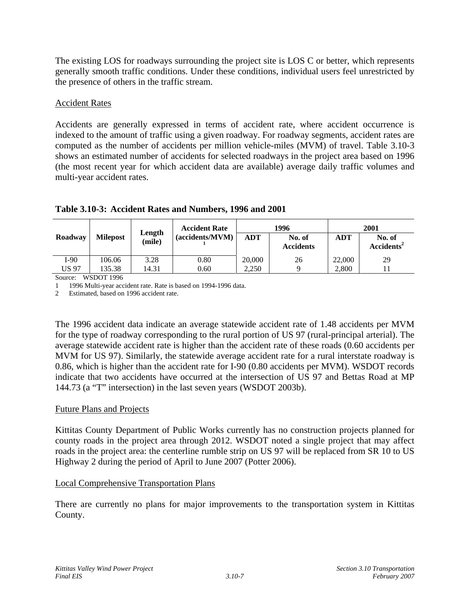The existing LOS for roadways surrounding the project site is LOS C or better, which represents generally smooth traffic conditions. Under these conditions, individual users feel unrestricted by the presence of others in the traffic stream.

### Accident Rates

Accidents are generally expressed in terms of accident rate, where accident occurrence is indexed to the amount of traffic using a given roadway. For roadway segments, accident rates are computed as the number of accidents per million vehicle-miles (MVM) of travel. Table 3.10-3 shows an estimated number of accidents for selected roadways in the project area based on 1996 (the most recent year for which accident data are available) average daily traffic volumes and multi-year accident rates.

|         | Length          |        | <b>Accident Rate</b> |                                   | 1996 | 2001   |                                  |  |
|---------|-----------------|--------|----------------------|-----------------------------------|------|--------|----------------------------------|--|
| Roadway | <b>Milepost</b> | (mile) | (accidents/MVM)      | ADT<br>No. of<br><b>Accidents</b> |      | ADT    | No. of<br>Accidents <sup>2</sup> |  |
| I-90    | 106.06          | 3.28   | 0.80                 | 20,000                            | 26   | 22,000 | 29                               |  |
| US 97   | 135.38          | 14.31  | 0.60                 | 2,250                             |      | 2,800  |                                  |  |

# **Table 3.10-3: Accident Rates and Numbers, 1996 and 2001**

Source: WSDOT 1996

1 1996 Multi-year accident rate. Rate is based on 1994-1996 data.

2 Estimated, based on 1996 accident rate.

The 1996 accident data indicate an average statewide accident rate of 1.48 accidents per MVM for the type of roadway corresponding to the rural portion of US 97 (rural-principal arterial). The average statewide accident rate is higher than the accident rate of these roads (0.60 accidents per MVM for US 97). Similarly, the statewide average accident rate for a rural interstate roadway is 0.86, which is higher than the accident rate for I-90 (0.80 accidents per MVM). WSDOT records indicate that two accidents have occurred at the intersection of US 97 and Bettas Road at MP 144.73 (a "T" intersection) in the last seven years (WSDOT 2003b).

#### Future Plans and Projects

Kittitas County Department of Public Works currently has no construction projects planned for county roads in the project area through 2012. WSDOT noted a single project that may affect roads in the project area: the centerline rumble strip on US 97 will be replaced from SR 10 to US Highway 2 during the period of April to June 2007 (Potter 2006).

# Local Comprehensive Transportation Plans

There are currently no plans for major improvements to the transportation system in Kittitas County.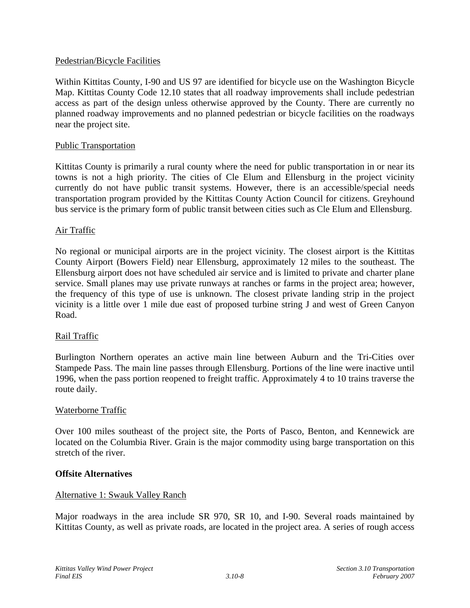#### Pedestrian/Bicycle Facilities

Within Kittitas County, I-90 and US 97 are identified for bicycle use on the Washington Bicycle Map. Kittitas County Code 12.10 states that all roadway improvements shall include pedestrian access as part of the design unless otherwise approved by the County. There are currently no planned roadway improvements and no planned pedestrian or bicycle facilities on the roadways near the project site.

#### Public Transportation

Kittitas County is primarily a rural county where the need for public transportation in or near its towns is not a high priority. The cities of Cle Elum and Ellensburg in the project vicinity currently do not have public transit systems. However, there is an accessible/special needs transportation program provided by the Kittitas County Action Council for citizens. Greyhound bus service is the primary form of public transit between cities such as Cle Elum and Ellensburg.

#### Air Traffic

No regional or municipal airports are in the project vicinity. The closest airport is the Kittitas County Airport (Bowers Field) near Ellensburg, approximately 12 miles to the southeast. The Ellensburg airport does not have scheduled air service and is limited to private and charter plane service. Small planes may use private runways at ranches or farms in the project area; however, the frequency of this type of use is unknown. The closest private landing strip in the project vicinity is a little over 1 mile due east of proposed turbine string J and west of Green Canyon Road.

#### Rail Traffic

Burlington Northern operates an active main line between Auburn and the Tri-Cities over Stampede Pass. The main line passes through Ellensburg. Portions of the line were inactive until 1996, when the pass portion reopened to freight traffic. Approximately 4 to 10 trains traverse the route daily.

#### Waterborne Traffic

Over 100 miles southeast of the project site, the Ports of Pasco, Benton, and Kennewick are located on the Columbia River. Grain is the major commodity using barge transportation on this stretch of the river.

#### **Offsite Alternatives**

#### Alternative 1: Swauk Valley Ranch

Major roadways in the area include SR 970, SR 10, and I-90. Several roads maintained by Kittitas County, as well as private roads, are located in the project area. A series of rough access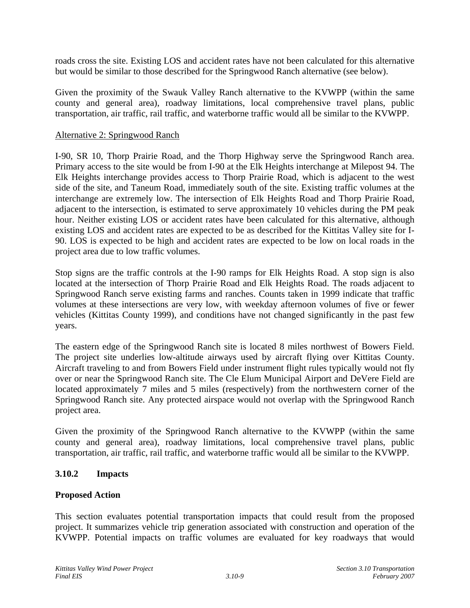roads cross the site. Existing LOS and accident rates have not been calculated for this alternative but would be similar to those described for the Springwood Ranch alternative (see below).

Given the proximity of the Swauk Valley Ranch alternative to the KVWPP (within the same county and general area), roadway limitations, local comprehensive travel plans, public transportation, air traffic, rail traffic, and waterborne traffic would all be similar to the KVWPP.

#### Alternative 2: Springwood Ranch

I-90, SR 10, Thorp Prairie Road, and the Thorp Highway serve the Springwood Ranch area. Primary access to the site would be from I-90 at the Elk Heights interchange at Milepost 94. The Elk Heights interchange provides access to Thorp Prairie Road, which is adjacent to the west side of the site, and Taneum Road, immediately south of the site. Existing traffic volumes at the interchange are extremely low. The intersection of Elk Heights Road and Thorp Prairie Road, adjacent to the intersection, is estimated to serve approximately 10 vehicles during the PM peak hour. Neither existing LOS or accident rates have been calculated for this alternative, although existing LOS and accident rates are expected to be as described for the Kittitas Valley site for I-90. LOS is expected to be high and accident rates are expected to be low on local roads in the project area due to low traffic volumes.

Stop signs are the traffic controls at the I-90 ramps for Elk Heights Road. A stop sign is also located at the intersection of Thorp Prairie Road and Elk Heights Road. The roads adjacent to Springwood Ranch serve existing farms and ranches. Counts taken in 1999 indicate that traffic volumes at these intersections are very low, with weekday afternoon volumes of five or fewer vehicles (Kittitas County 1999), and conditions have not changed significantly in the past few years.

The eastern edge of the Springwood Ranch site is located 8 miles northwest of Bowers Field. The project site underlies low-altitude airways used by aircraft flying over Kittitas County. Aircraft traveling to and from Bowers Field under instrument flight rules typically would not fly over or near the Springwood Ranch site. The Cle Elum Municipal Airport and DeVere Field are located approximately 7 miles and 5 miles (respectively) from the northwestern corner of the Springwood Ranch site. Any protected airspace would not overlap with the Springwood Ranch project area.

Given the proximity of the Springwood Ranch alternative to the KVWPP (within the same county and general area), roadway limitations, local comprehensive travel plans, public transportation, air traffic, rail traffic, and waterborne traffic would all be similar to the KVWPP.

# **3.10.2 Impacts**

#### **Proposed Action**

This section evaluates potential transportation impacts that could result from the proposed project. It summarizes vehicle trip generation associated with construction and operation of the KVWPP. Potential impacts on traffic volumes are evaluated for key roadways that would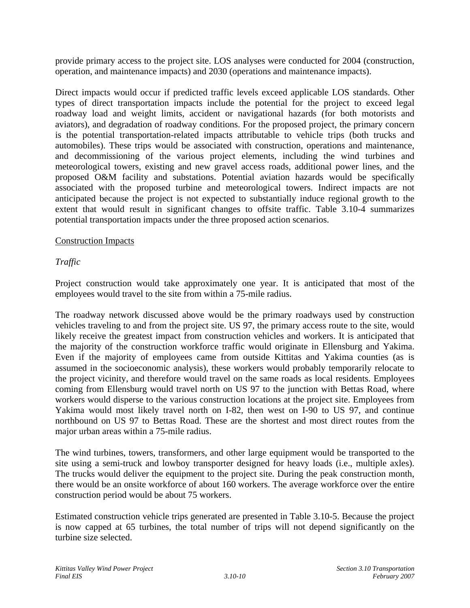provide primary access to the project site. LOS analyses were conducted for 2004 (construction, operation, and maintenance impacts) and 2030 (operations and maintenance impacts).

Direct impacts would occur if predicted traffic levels exceed applicable LOS standards. Other types of direct transportation impacts include the potential for the project to exceed legal roadway load and weight limits, accident or navigational hazards (for both motorists and aviators), and degradation of roadway conditions. For the proposed project, the primary concern is the potential transportation-related impacts attributable to vehicle trips (both trucks and automobiles). These trips would be associated with construction, operations and maintenance, and decommissioning of the various project elements, including the wind turbines and meteorological towers, existing and new gravel access roads, additional power lines, and the proposed O&M facility and substations. Potential aviation hazards would be specifically associated with the proposed turbine and meteorological towers. Indirect impacts are not anticipated because the project is not expected to substantially induce regional growth to the extent that would result in significant changes to offsite traffic. Table 3.10-4 summarizes potential transportation impacts under the three proposed action scenarios.

#### Construction Impacts

# *Traffic*

Project construction would take approximately one year. It is anticipated that most of the employees would travel to the site from within a 75-mile radius.

The roadway network discussed above would be the primary roadways used by construction vehicles traveling to and from the project site. US 97, the primary access route to the site, would likely receive the greatest impact from construction vehicles and workers. It is anticipated that the majority of the construction workforce traffic would originate in Ellensburg and Yakima. Even if the majority of employees came from outside Kittitas and Yakima counties (as is assumed in the socioeconomic analysis), these workers would probably temporarily relocate to the project vicinity, and therefore would travel on the same roads as local residents. Employees coming from Ellensburg would travel north on US 97 to the junction with Bettas Road, where workers would disperse to the various construction locations at the project site. Employees from Yakima would most likely travel north on I-82, then west on I-90 to US 97, and continue northbound on US 97 to Bettas Road. These are the shortest and most direct routes from the major urban areas within a 75-mile radius.

The wind turbines, towers, transformers, and other large equipment would be transported to the site using a semi-truck and lowboy transporter designed for heavy loads (i.e., multiple axles). The trucks would deliver the equipment to the project site. During the peak construction month, there would be an onsite workforce of about 160 workers. The average workforce over the entire construction period would be about 75 workers.

Estimated construction vehicle trips generated are presented in Table 3.10-5. Because the project is now capped at 65 turbines, the total number of trips will not depend significantly on the turbine size selected.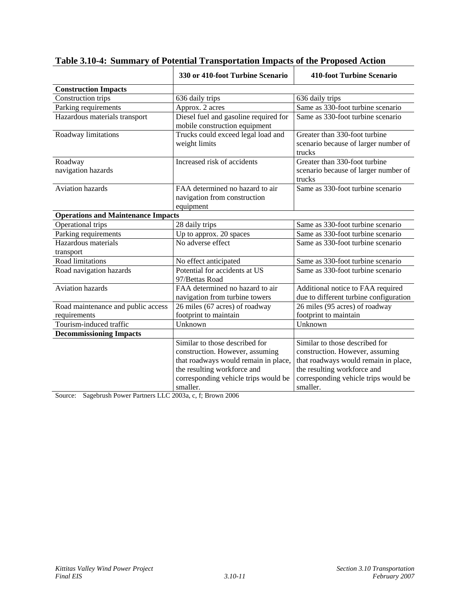|                                           | 330 or 410-foot Turbine Scenario                                                                                                                                                             | <b>410-foot Turbine Scenario</b>                                                                                                                                                             |
|-------------------------------------------|----------------------------------------------------------------------------------------------------------------------------------------------------------------------------------------------|----------------------------------------------------------------------------------------------------------------------------------------------------------------------------------------------|
| <b>Construction Impacts</b>               |                                                                                                                                                                                              |                                                                                                                                                                                              |
| Construction trips                        | 636 daily trips                                                                                                                                                                              | 636 daily trips                                                                                                                                                                              |
| Parking requirements                      | Approx. 2 acres                                                                                                                                                                              | Same as 330-foot turbine scenario                                                                                                                                                            |
| Hazardous materials transport             | Diesel fuel and gasoline required for<br>mobile construction equipment                                                                                                                       | Same as 330-foot turbine scenario                                                                                                                                                            |
| Roadway limitations                       | Trucks could exceed legal load and<br>weight limits                                                                                                                                          | Greater than 330-foot turbine<br>scenario because of larger number of<br>trucks                                                                                                              |
| Roadway<br>navigation hazards             | Increased risk of accidents                                                                                                                                                                  | Greater than 330-foot turbine<br>scenario because of larger number of<br>trucks                                                                                                              |
| <b>Aviation hazards</b>                   | FAA determined no hazard to air<br>navigation from construction<br>equipment                                                                                                                 | Same as 330-foot turbine scenario                                                                                                                                                            |
| <b>Operations and Maintenance Impacts</b> |                                                                                                                                                                                              |                                                                                                                                                                                              |
| Operational trips                         | 28 daily trips                                                                                                                                                                               | Same as 330-foot turbine scenario                                                                                                                                                            |
| Parking requirements                      | Up to approx. 20 spaces                                                                                                                                                                      | Same as 330-foot turbine scenario                                                                                                                                                            |
| Hazardous materials<br>transport          | No adverse effect                                                                                                                                                                            | Same as 330-foot turbine scenario                                                                                                                                                            |
| Road limitations                          | No effect anticipated                                                                                                                                                                        | Same as 330-foot turbine scenario                                                                                                                                                            |
| Road navigation hazards                   | Potential for accidents at US<br>97/Bettas Road                                                                                                                                              | Same as 330-foot turbine scenario                                                                                                                                                            |
| <b>Aviation hazards</b>                   | FAA determined no hazard to air<br>navigation from turbine towers                                                                                                                            | Additional notice to FAA required<br>due to different turbine configuration                                                                                                                  |
| Road maintenance and public access        | 26 miles (67 acres) of roadway                                                                                                                                                               | 26 miles (95 acres) of roadway                                                                                                                                                               |
| requirements                              | footprint to maintain                                                                                                                                                                        | footprint to maintain                                                                                                                                                                        |
| Tourism-induced traffic                   | Unknown                                                                                                                                                                                      | Unknown                                                                                                                                                                                      |
| <b>Decommissioning Impacts</b>            |                                                                                                                                                                                              |                                                                                                                                                                                              |
|                                           | Similar to those described for<br>construction. However, assuming<br>that roadways would remain in place,<br>the resulting workforce and<br>corresponding vehicle trips would be<br>smaller. | Similar to those described for<br>construction. However, assuming<br>that roadways would remain in place,<br>the resulting workforce and<br>corresponding vehicle trips would be<br>smaller. |

# **Table 3.10-4: Summary of Potential Transportation Impacts of the Proposed Action**

Source: Sagebrush Power Partners LLC 2003a, c, f; Brown 2006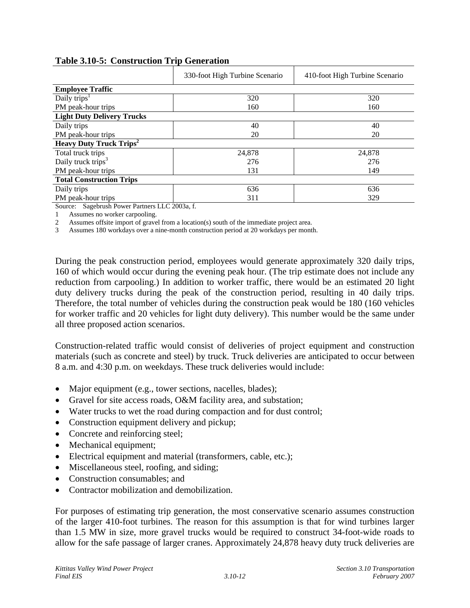|                                           | 330-foot High Turbine Scenario | 410-foot High Turbine Scenario |
|-------------------------------------------|--------------------------------|--------------------------------|
| <b>Employee Traffic</b>                   |                                |                                |
| Daily trips <sup>1</sup>                  | 320                            | 320                            |
| PM peak-hour trips                        | 160                            | 160                            |
| <b>Light Duty Delivery Trucks</b>         |                                |                                |
| Daily trips                               | 40                             | 40                             |
| PM peak-hour trips                        | 20                             | 20                             |
| <b>Heavy Duty Truck Trips<sup>2</sup></b> |                                |                                |
| Total truck trips                         | 24,878                         | 24,878                         |
| Daily truck trips <sup>3</sup>            | 276                            | 276                            |
| PM peak-hour trips                        | 131                            | 149                            |
| <b>Total Construction Trips</b>           |                                |                                |
| Daily trips                               | 636                            | 636                            |
| PM peak-hour trips                        | 311                            | 329                            |

#### **Table 3.10-5: Construction Trip Generation**

Source: Sagebrush Power Partners LLC 2003a, f.

1 Assumes no worker carpooling.

2 Assumes offsite import of gravel from a location(s) south of the immediate project area.

3 Assumes 180 workdays over a nine-month construction period at 20 workdays per month.

During the peak construction period, employees would generate approximately 320 daily trips, 160 of which would occur during the evening peak hour. (The trip estimate does not include any reduction from carpooling.) In addition to worker traffic, there would be an estimated 20 light duty delivery trucks during the peak of the construction period, resulting in 40 daily trips. Therefore, the total number of vehicles during the construction peak would be 180 (160 vehicles for worker traffic and 20 vehicles for light duty delivery). This number would be the same under all three proposed action scenarios.

Construction-related traffic would consist of deliveries of project equipment and construction materials (such as concrete and steel) by truck. Truck deliveries are anticipated to occur between 8 a.m. and 4:30 p.m. on weekdays. These truck deliveries would include:

- Major equipment (e.g., tower sections, nacelles, blades);
- Gravel for site access roads, O&M facility area, and substation;
- Water trucks to wet the road during compaction and for dust control;
- Construction equipment delivery and pickup;
- Concrete and reinforcing steel;
- Mechanical equipment;
- Electrical equipment and material (transformers, cable, etc.);
- Miscellaneous steel, roofing, and siding;
- Construction consumables: and
- Contractor mobilization and demobilization.

For purposes of estimating trip generation, the most conservative scenario assumes construction of the larger 410-foot turbines. The reason for this assumption is that for wind turbines larger than 1.5 MW in size, more gravel trucks would be required to construct 34-foot-wide roads to allow for the safe passage of larger cranes. Approximately 24,878 heavy duty truck deliveries are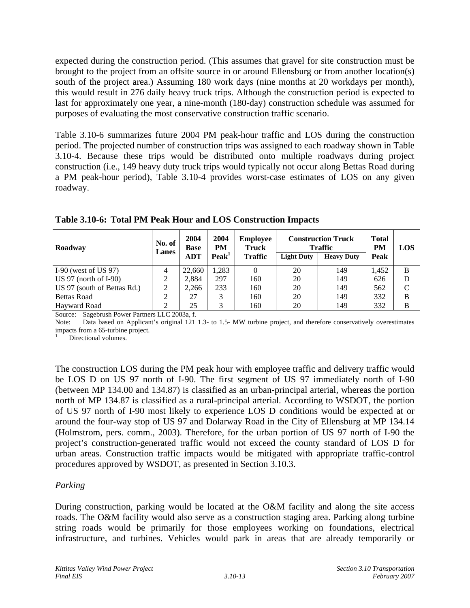expected during the construction period. (This assumes that gravel for site construction must be brought to the project from an offsite source in or around Ellensburg or from another location(s) south of the project area.) Assuming 180 work days (nine months at 20 workdays per month), this would result in 276 daily heavy truck trips. Although the construction period is expected to last for approximately one year, a nine-month (180-day) construction schedule was assumed for purposes of evaluating the most conservative construction traffic scenario.

Table 3.10-6 summarizes future 2004 PM peak-hour traffic and LOS during the construction period. The projected number of construction trips was assigned to each roadway shown in Table 3.10-4. Because these trips would be distributed onto multiple roadways during project construction (i.e., 149 heavy duty truck trips would typically not occur along Bettas Road during a PM peak-hour period), Table 3.10-4 provides worst-case estimates of LOS on any given roadway.

| Roadway                     | No. of<br>Lanes | 2004<br><b>Base</b> | 2004<br><b>PM</b> | <b>Employee</b><br>Truck |                   | <b>Construction Truck</b><br><b>Traffic</b> | <b>Total</b><br><b>PM</b> | <b>LOS</b> |
|-----------------------------|-----------------|---------------------|-------------------|--------------------------|-------------------|---------------------------------------------|---------------------------|------------|
|                             |                 | <b>ADT</b>          | Peak <sup>1</sup> | <b>Traffic</b>           | <b>Light Duty</b> | <b>Heavy Duty</b>                           | Peak                      |            |
| I-90 (west of US $97$ )     | 4               | 22,660              | 1.283             |                          | 20                | 149                                         | 1.452                     | B          |
| US 97 (north of $I-90$ )    |                 | 2.884               | 297               | 160                      | 20                | 149                                         | 626                       | D          |
| US 97 (south of Bettas Rd.) |                 | 2.266               | 233               | 160                      | 20                | 149                                         | 562                       | C          |
| <b>Bettas Road</b>          |                 | 27                  | 3                 | 160                      | 20                | 149                                         | 332                       | B          |
| Havward Road                |                 | 25                  | 3                 | 160                      | 20                | 149                                         | 332                       | B          |

**Table 3.10-6: Total PM Peak Hour and LOS Construction Impacts** 

Source: Sagebrush Power Partners LLC 2003a, f.

Note: Data based on Applicant's original 121 1.3- to 1.5- MW turbine project, and therefore conservatively overestimates impacts from a 65-turbine project.

1 Directional volumes.

The construction LOS during the PM peak hour with employee traffic and delivery traffic would be LOS D on US 97 north of I-90. The first segment of US 97 immediately north of I-90 (between MP 134.00 and 134.87) is classified as an urban-principal arterial, whereas the portion north of MP 134.87 is classified as a rural-principal arterial. According to WSDOT, the portion of US 97 north of I-90 most likely to experience LOS D conditions would be expected at or around the four-way stop of US 97 and Dolarway Road in the City of Ellensburg at MP 134.14 (Holmstrom, pers. comm., 2003). Therefore, for the urban portion of US 97 north of I-90 the project's construction-generated traffic would not exceed the county standard of LOS D for urban areas. Construction traffic impacts would be mitigated with appropriate traffic-control procedures approved by WSDOT, as presented in Section 3.10.3.

# *Parking*

During construction, parking would be located at the O&M facility and along the site access roads. The O&M facility would also serve as a construction staging area. Parking along turbine string roads would be primarily for those employees working on foundations, electrical infrastructure, and turbines. Vehicles would park in areas that are already temporarily or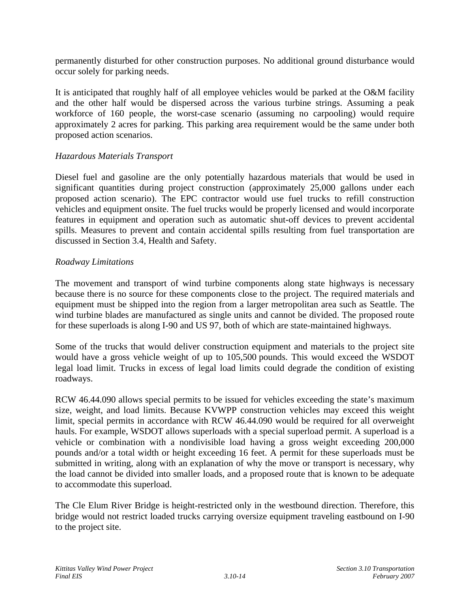permanently disturbed for other construction purposes. No additional ground disturbance would occur solely for parking needs.

It is anticipated that roughly half of all employee vehicles would be parked at the O&M facility and the other half would be dispersed across the various turbine strings. Assuming a peak workforce of 160 people, the worst-case scenario (assuming no carpooling) would require approximately 2 acres for parking. This parking area requirement would be the same under both proposed action scenarios.

### *Hazardous Materials Transport*

Diesel fuel and gasoline are the only potentially hazardous materials that would be used in significant quantities during project construction (approximately 25,000 gallons under each proposed action scenario). The EPC contractor would use fuel trucks to refill construction vehicles and equipment onsite. The fuel trucks would be properly licensed and would incorporate features in equipment and operation such as automatic shut-off devices to prevent accidental spills. Measures to prevent and contain accidental spills resulting from fuel transportation are discussed in Section 3.4, Health and Safety.

#### *Roadway Limitations*

The movement and transport of wind turbine components along state highways is necessary because there is no source for these components close to the project. The required materials and equipment must be shipped into the region from a larger metropolitan area such as Seattle. The wind turbine blades are manufactured as single units and cannot be divided. The proposed route for these superloads is along I-90 and US 97, both of which are state-maintained highways.

Some of the trucks that would deliver construction equipment and materials to the project site would have a gross vehicle weight of up to 105,500 pounds. This would exceed the WSDOT legal load limit. Trucks in excess of legal load limits could degrade the condition of existing roadways.

RCW 46.44.090 allows special permits to be issued for vehicles exceeding the state's maximum size, weight, and load limits. Because KVWPP construction vehicles may exceed this weight limit, special permits in accordance with RCW 46.44.090 would be required for all overweight hauls. For example, WSDOT allows superloads with a special superload permit. A superload is a vehicle or combination with a nondivisible load having a gross weight exceeding 200,000 pounds and/or a total width or height exceeding 16 feet. A permit for these superloads must be submitted in writing, along with an explanation of why the move or transport is necessary, why the load cannot be divided into smaller loads, and a proposed route that is known to be adequate to accommodate this superload.

The Cle Elum River Bridge is height-restricted only in the westbound direction. Therefore, this bridge would not restrict loaded trucks carrying oversize equipment traveling eastbound on I-90 to the project site.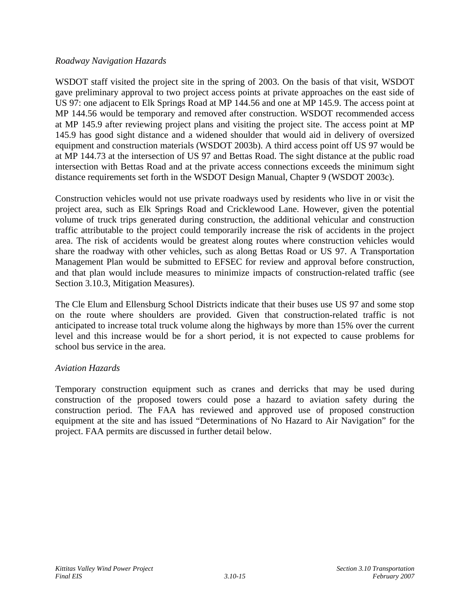#### *Roadway Navigation Hazards*

WSDOT staff visited the project site in the spring of 2003. On the basis of that visit, WSDOT gave preliminary approval to two project access points at private approaches on the east side of US 97: one adjacent to Elk Springs Road at MP 144.56 and one at MP 145.9. The access point at MP 144.56 would be temporary and removed after construction. WSDOT recommended access at MP 145.9 after reviewing project plans and visiting the project site. The access point at MP 145.9 has good sight distance and a widened shoulder that would aid in delivery of oversized equipment and construction materials (WSDOT 2003b). A third access point off US 97 would be at MP 144.73 at the intersection of US 97 and Bettas Road. The sight distance at the public road intersection with Bettas Road and at the private access connections exceeds the minimum sight distance requirements set forth in the WSDOT Design Manual, Chapter 9 (WSDOT 2003c).

Construction vehicles would not use private roadways used by residents who live in or visit the project area, such as Elk Springs Road and Cricklewood Lane. However, given the potential volume of truck trips generated during construction, the additional vehicular and construction traffic attributable to the project could temporarily increase the risk of accidents in the project area. The risk of accidents would be greatest along routes where construction vehicles would share the roadway with other vehicles, such as along Bettas Road or US 97. A Transportation Management Plan would be submitted to EFSEC for review and approval before construction, and that plan would include measures to minimize impacts of construction-related traffic (see Section 3.10.3, Mitigation Measures).

The Cle Elum and Ellensburg School Districts indicate that their buses use US 97 and some stop on the route where shoulders are provided. Given that construction-related traffic is not anticipated to increase total truck volume along the highways by more than 15% over the current level and this increase would be for a short period, it is not expected to cause problems for school bus service in the area.

# *Aviation Hazards*

Temporary construction equipment such as cranes and derricks that may be used during construction of the proposed towers could pose a hazard to aviation safety during the construction period. The FAA has reviewed and approved use of proposed construction equipment at the site and has issued "Determinations of No Hazard to Air Navigation" for the project. FAA permits are discussed in further detail below.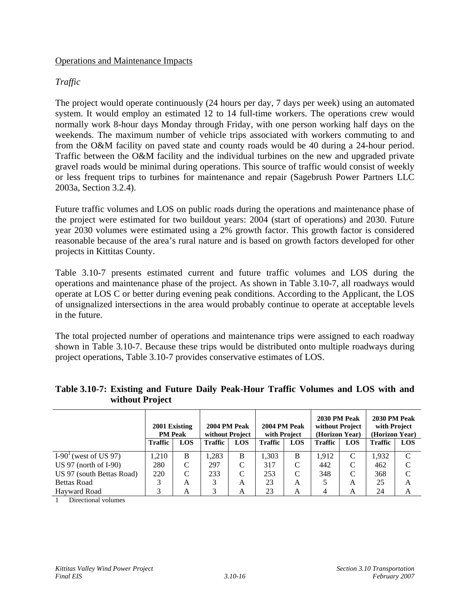#### Operations and Maintenance Impacts

# *Traffic*

The project would operate continuously (24 hours per day, 7 days per week) using an automated system. It would employ an estimated 12 to 14 full-time workers. The operations crew would normally work 8-hour days Monday through Friday, with one person working half days on the weekends. The maximum number of vehicle trips associated with workers commuting to and from the O&M facility on paved state and county roads would be 40 during a 24-hour period. Traffic between the O&M facility and the individual turbines on the new and upgraded private gravel roads would be minimal during operations. This source of traffic would consist of weekly or less frequent trips to turbines for maintenance and repair (Sagebrush Power Partners LLC 2003a, Section 3.2.4).

Future traffic volumes and LOS on public roads during the operations and maintenance phase of the project were estimated for two buildout years: 2004 (start of operations) and 2030. Future year 2030 volumes were estimated using a 2% growth factor. This growth factor is considered reasonable because of the area's rural nature and is based on growth factors developed for other projects in Kittitas County.

Table 3.10-7 presents estimated current and future traffic volumes and LOS during the operations and maintenance phase of the project. As shown in Table 3.10-7, all roadways would operate at LOS C or better during evening peak conditions. According to the Applicant, the LOS of unsignalized intersections in the area would probably continue to operate at acceptable levels in the future.

The total projected number of operations and maintenance trips were assigned to each roadway shown in Table 3.10-7. Because these trips would be distributed onto multiple roadways during project operations, Table 3.10-7 provides conservative estimates of LOS.

|                           | 2001 Existing<br><b>PM Peak</b> |            | 2004 PM Peak<br>without Project |            | 2004 PM Peak<br>with Project |            | 2030 PM Peak<br>without Project<br>(Horizon Year) |            | 2030 PM Peak<br>with Project<br>(Horizon Year) |            |
|---------------------------|---------------------------------|------------|---------------------------------|------------|------------------------------|------------|---------------------------------------------------|------------|------------------------------------------------|------------|
|                           | <b>Traffic</b>                  | <b>LOS</b> | <b>Traffic</b>                  | <b>LOS</b> | <b>Traffic</b>               | <b>LOS</b> | <b>Traffic</b>                                    | <b>LOS</b> | Traffic                                        | <b>LOS</b> |
| $I-901$ (west of US 97)   | .210                            | B          | 1.283                           | B          | 1.303                        | B          | 1,912                                             |            | 1.932                                          | C          |
| US 97 (north of $I-90$ )  | 280                             | C          | 297                             | C          | 317                          | C          | 442                                               |            | 462                                            | C          |
| US 97 (south Bettas Road) | 220                             | C          | 233                             | C          | 253                          | C          | 348                                               |            | 368                                            | C          |
| <b>Bettas Road</b>        |                                 | A          |                                 | А          | 23                           | A          |                                                   | A          | 25                                             | A          |
| Hayward Road              |                                 | А          |                                 | А          | 23                           | A          | 4                                                 | А          | 24                                             | A          |

# **Table 3.10-7: Existing and Future Daily Peak-Hour Traffic Volumes and LOS with and without Project**

1 Directional volumes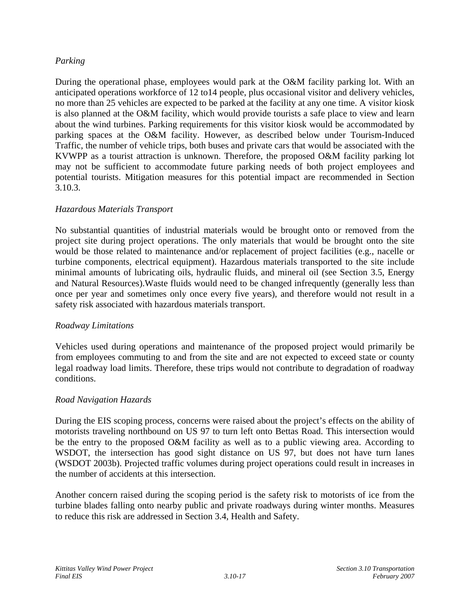### *Parking*

During the operational phase, employees would park at the O&M facility parking lot. With an anticipated operations workforce of 12 to14 people, plus occasional visitor and delivery vehicles, no more than 25 vehicles are expected to be parked at the facility at any one time. A visitor kiosk is also planned at the O&M facility, which would provide tourists a safe place to view and learn about the wind turbines. Parking requirements for this visitor kiosk would be accommodated by parking spaces at the O&M facility. However, as described below under Tourism-Induced Traffic, the number of vehicle trips, both buses and private cars that would be associated with the KVWPP as a tourist attraction is unknown. Therefore, the proposed O&M facility parking lot may not be sufficient to accommodate future parking needs of both project employees and potential tourists. Mitigation measures for this potential impact are recommended in Section 3.10.3.

# *Hazardous Materials Transport*

No substantial quantities of industrial materials would be brought onto or removed from the project site during project operations. The only materials that would be brought onto the site would be those related to maintenance and/or replacement of project facilities (e.g., nacelle or turbine components, electrical equipment). Hazardous materials transported to the site include minimal amounts of lubricating oils, hydraulic fluids, and mineral oil (see Section 3.5, Energy and Natural Resources).Waste fluids would need to be changed infrequently (generally less than once per year and sometimes only once every five years), and therefore would not result in a safety risk associated with hazardous materials transport.

#### *Roadway Limitations*

Vehicles used during operations and maintenance of the proposed project would primarily be from employees commuting to and from the site and are not expected to exceed state or county legal roadway load limits. Therefore, these trips would not contribute to degradation of roadway conditions.

#### *Road Navigation Hazards*

During the EIS scoping process, concerns were raised about the project's effects on the ability of motorists traveling northbound on US 97 to turn left onto Bettas Road. This intersection would be the entry to the proposed O&M facility as well as to a public viewing area. According to WSDOT, the intersection has good sight distance on US 97, but does not have turn lanes (WSDOT 2003b). Projected traffic volumes during project operations could result in increases in the number of accidents at this intersection.

Another concern raised during the scoping period is the safety risk to motorists of ice from the turbine blades falling onto nearby public and private roadways during winter months. Measures to reduce this risk are addressed in Section 3.4, Health and Safety.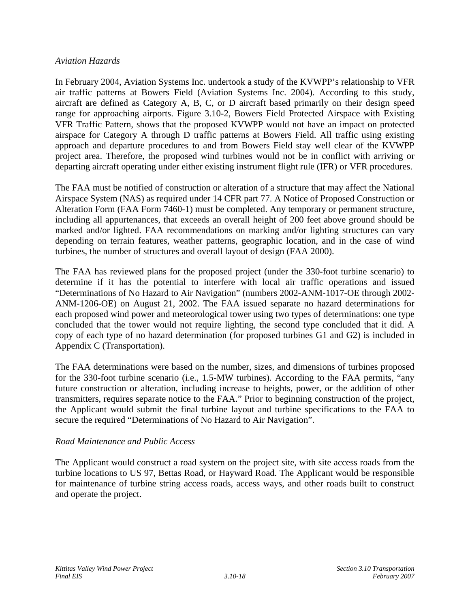#### *Aviation Hazards*

In February 2004, Aviation Systems Inc. undertook a study of the KVWPP's relationship to VFR air traffic patterns at Bowers Field (Aviation Systems Inc. 2004). According to this study, aircraft are defined as Category A, B, C, or D aircraft based primarily on their design speed range for approaching airports. Figure 3.10-2, Bowers Field Protected Airspace with Existing VFR Traffic Pattern, shows that the proposed KVWPP would not have an impact on protected airspace for Category A through D traffic patterns at Bowers Field. All traffic using existing approach and departure procedures to and from Bowers Field stay well clear of the KVWPP project area. Therefore, the proposed wind turbines would not be in conflict with arriving or departing aircraft operating under either existing instrument flight rule (IFR) or VFR procedures.

The FAA must be notified of construction or alteration of a structure that may affect the National Airspace System (NAS) as required under 14 CFR part 77. A Notice of Proposed Construction or Alteration Form (FAA Form 7460-1) must be completed. Any temporary or permanent structure, including all appurtenances, that exceeds an overall height of 200 feet above ground should be marked and/or lighted. FAA recommendations on marking and/or lighting structures can vary depending on terrain features, weather patterns, geographic location, and in the case of wind turbines, the number of structures and overall layout of design (FAA 2000).

The FAA has reviewed plans for the proposed project (under the 330-foot turbine scenario) to determine if it has the potential to interfere with local air traffic operations and issued "Determinations of No Hazard to Air Navigation" (numbers 2002-ANM-1017-OE through 2002- ANM-1206-OE) on August 21, 2002. The FAA issued separate no hazard determinations for each proposed wind power and meteorological tower using two types of determinations: one type concluded that the tower would not require lighting, the second type concluded that it did. A copy of each type of no hazard determination (for proposed turbines G1 and G2) is included in Appendix C (Transportation).

The FAA determinations were based on the number, sizes, and dimensions of turbines proposed for the 330-foot turbine scenario (i.e., 1.5-MW turbines). According to the FAA permits, "any future construction or alteration, including increase to heights, power, or the addition of other transmitters, requires separate notice to the FAA." Prior to beginning construction of the project, the Applicant would submit the final turbine layout and turbine specifications to the FAA to secure the required "Determinations of No Hazard to Air Navigation".

# *Road Maintenance and Public Access*

The Applicant would construct a road system on the project site, with site access roads from the turbine locations to US 97, Bettas Road, or Hayward Road. The Applicant would be responsible for maintenance of turbine string access roads, access ways, and other roads built to construct and operate the project.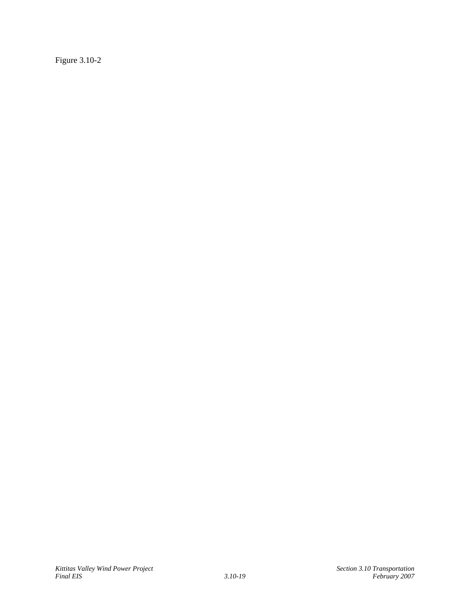Figure 3.10-2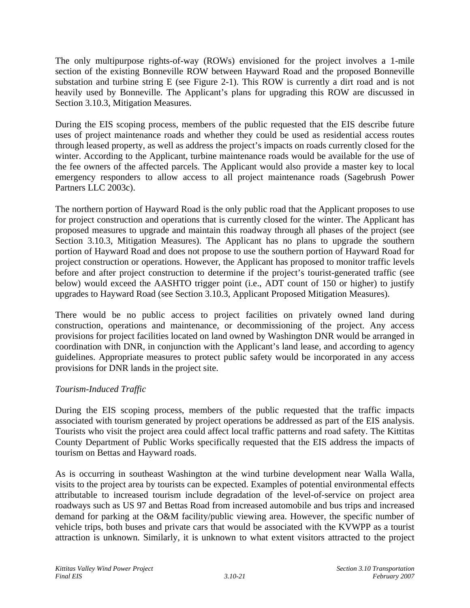The only multipurpose rights-of-way (ROWs) envisioned for the project involves a 1-mile section of the existing Bonneville ROW between Hayward Road and the proposed Bonneville substation and turbine string E (see Figure 2-1). This ROW is currently a dirt road and is not heavily used by Bonneville. The Applicant's plans for upgrading this ROW are discussed in Section 3.10.3, Mitigation Measures.

During the EIS scoping process, members of the public requested that the EIS describe future uses of project maintenance roads and whether they could be used as residential access routes through leased property, as well as address the project's impacts on roads currently closed for the winter. According to the Applicant, turbine maintenance roads would be available for the use of the fee owners of the affected parcels. The Applicant would also provide a master key to local emergency responders to allow access to all project maintenance roads (Sagebrush Power Partners LLC 2003c).

The northern portion of Hayward Road is the only public road that the Applicant proposes to use for project construction and operations that is currently closed for the winter. The Applicant has proposed measures to upgrade and maintain this roadway through all phases of the project (see Section 3.10.3, Mitigation Measures). The Applicant has no plans to upgrade the southern portion of Hayward Road and does not propose to use the southern portion of Hayward Road for project construction or operations. However, the Applicant has proposed to monitor traffic levels before and after project construction to determine if the project's tourist-generated traffic (see below) would exceed the AASHTO trigger point (i.e., ADT count of 150 or higher) to justify upgrades to Hayward Road (see Section 3.10.3, Applicant Proposed Mitigation Measures).

There would be no public access to project facilities on privately owned land during construction, operations and maintenance, or decommissioning of the project. Any access provisions for project facilities located on land owned by Washington DNR would be arranged in coordination with DNR, in conjunction with the Applicant's land lease, and according to agency guidelines. Appropriate measures to protect public safety would be incorporated in any access provisions for DNR lands in the project site.

# *Tourism-Induced Traffic*

During the EIS scoping process, members of the public requested that the traffic impacts associated with tourism generated by project operations be addressed as part of the EIS analysis. Tourists who visit the project area could affect local traffic patterns and road safety. The Kittitas County Department of Public Works specifically requested that the EIS address the impacts of tourism on Bettas and Hayward roads.

As is occurring in southeast Washington at the wind turbine development near Walla Walla, visits to the project area by tourists can be expected. Examples of potential environmental effects attributable to increased tourism include degradation of the level-of-service on project area roadways such as US 97 and Bettas Road from increased automobile and bus trips and increased demand for parking at the O&M facility/public viewing area. However, the specific number of vehicle trips, both buses and private cars that would be associated with the KVWPP as a tourist attraction is unknown. Similarly, it is unknown to what extent visitors attracted to the project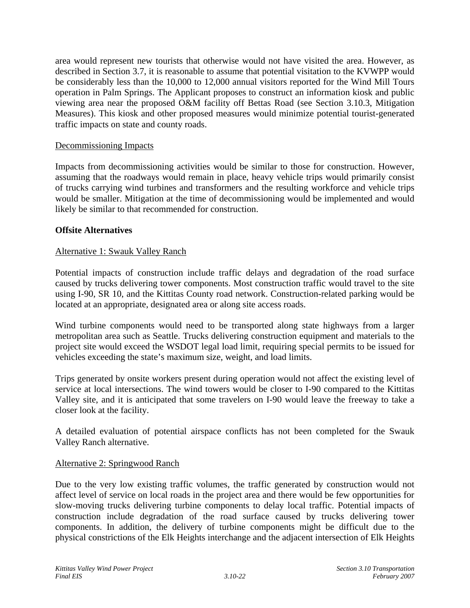area would represent new tourists that otherwise would not have visited the area. However, as described in Section 3.7, it is reasonable to assume that potential visitation to the KVWPP would be considerably less than the 10,000 to 12,000 annual visitors reported for the Wind Mill Tours operation in Palm Springs. The Applicant proposes to construct an information kiosk and public viewing area near the proposed O&M facility off Bettas Road (see Section 3.10.3, Mitigation Measures). This kiosk and other proposed measures would minimize potential tourist-generated traffic impacts on state and county roads.

### Decommissioning Impacts

Impacts from decommissioning activities would be similar to those for construction. However, assuming that the roadways would remain in place, heavy vehicle trips would primarily consist of trucks carrying wind turbines and transformers and the resulting workforce and vehicle trips would be smaller. Mitigation at the time of decommissioning would be implemented and would likely be similar to that recommended for construction.

#### **Offsite Alternatives**

#### Alternative 1: Swauk Valley Ranch

Potential impacts of construction include traffic delays and degradation of the road surface caused by trucks delivering tower components. Most construction traffic would travel to the site using I-90, SR 10, and the Kittitas County road network. Construction-related parking would be located at an appropriate, designated area or along site access roads.

Wind turbine components would need to be transported along state highways from a larger metropolitan area such as Seattle. Trucks delivering construction equipment and materials to the project site would exceed the WSDOT legal load limit, requiring special permits to be issued for vehicles exceeding the state's maximum size, weight, and load limits.

Trips generated by onsite workers present during operation would not affect the existing level of service at local intersections. The wind towers would be closer to I-90 compared to the Kittitas Valley site, and it is anticipated that some travelers on I-90 would leave the freeway to take a closer look at the facility.

A detailed evaluation of potential airspace conflicts has not been completed for the Swauk Valley Ranch alternative.

#### Alternative 2: Springwood Ranch

Due to the very low existing traffic volumes, the traffic generated by construction would not affect level of service on local roads in the project area and there would be few opportunities for slow-moving trucks delivering turbine components to delay local traffic. Potential impacts of construction include degradation of the road surface caused by trucks delivering tower components. In addition, the delivery of turbine components might be difficult due to the physical constrictions of the Elk Heights interchange and the adjacent intersection of Elk Heights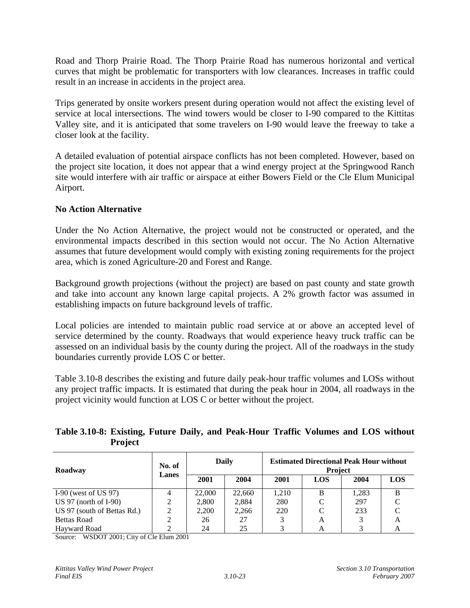Road and Thorp Prairie Road. The Thorp Prairie Road has numerous horizontal and vertical curves that might be problematic for transporters with low clearances. Increases in traffic could result in an increase in accidents in the project area.

Trips generated by onsite workers present during operation would not affect the existing level of service at local intersections. The wind towers would be closer to I-90 compared to the Kittitas Valley site, and it is anticipated that some travelers on I-90 would leave the freeway to take a closer look at the facility.

A detailed evaluation of potential airspace conflicts has not been completed. However, based on the project site location, it does not appear that a wind energy project at the Springwood Ranch site would interfere with air traffic or airspace at either Bowers Field or the Cle Elum Municipal Airport.

# **No Action Alternative**

Under the No Action Alternative, the project would not be constructed or operated, and the environmental impacts described in this section would not occur. The No Action Alternative assumes that future development would comply with existing zoning requirements for the project area, which is zoned Agriculture-20 and Forest and Range.

Background growth projections (without the project) are based on past county and state growth and take into account any known large capital projects. A 2% growth factor was assumed in establishing impacts on future background levels of traffic.

Local policies are intended to maintain public road service at or above an accepted level of service determined by the county. Roadways that would experience heavy truck traffic can be assessed on an individual basis by the county during the project. All of the roadways in the study boundaries currently provide LOS C or better.

Table 3.10-8 describes the existing and future daily peak-hour traffic volumes and LOSs without any project traffic impacts. It is estimated that during the peak hour in 2004, all roadways in the project vicinity would function at LOS C or better without the project.

#### **Table 3.10-8: Existing, Future Daily, and Peak-Hour Traffic Volumes and LOS without Project**

| Roadway                     | No. of | Daily  |        | <b>Estimated Directional Peak Hour without</b><br><b>Project</b> |            |       |            |  |  |
|-----------------------------|--------|--------|--------|------------------------------------------------------------------|------------|-------|------------|--|--|
|                             | Lanes  | 2001   | 2004   | 2001                                                             | <b>LOS</b> | 2004  | <b>LOS</b> |  |  |
| I-90 (west of US $97$ )     |        | 22,000 | 22,660 | 1,210                                                            | B          | 1.283 | B          |  |  |
| US 97 (north of $I-90$ )    |        | 2,800  | 2,884  | 280                                                              | C          | 297   |            |  |  |
| US 97 (south of Bettas Rd.) |        | 2,200  | 2,266  | 220                                                              | C          | 233   |            |  |  |
| <b>Bettas Road</b>          |        | 26     | 27     |                                                                  | A          |       | А          |  |  |
| <b>Havward Road</b>         |        | 24     | 25     |                                                                  |            |       |            |  |  |

Source: WSDOT 2001; City of Cle Elum 2001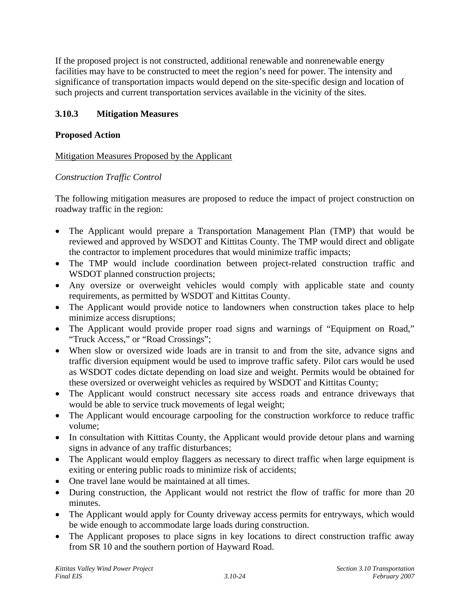If the proposed project is not constructed, additional renewable and nonrenewable energy facilities may have to be constructed to meet the region's need for power. The intensity and significance of transportation impacts would depend on the site-specific design and location of such projects and current transportation services available in the vicinity of the sites.

# **3.10.3 Mitigation Measures**

# **Proposed Action**

# Mitigation Measures Proposed by the Applicant

# *Construction Traffic Control*

The following mitigation measures are proposed to reduce the impact of project construction on roadway traffic in the region:

- The Applicant would prepare a Transportation Management Plan (TMP) that would be reviewed and approved by WSDOT and Kittitas County. The TMP would direct and obligate the contractor to implement procedures that would minimize traffic impacts;
- The TMP would include coordination between project-related construction traffic and WSDOT planned construction projects;
- Any oversize or overweight vehicles would comply with applicable state and county requirements, as permitted by WSDOT and Kittitas County.
- The Applicant would provide notice to landowners when construction takes place to help minimize access disruptions;
- The Applicant would provide proper road signs and warnings of "Equipment on Road," "Truck Access," or "Road Crossings";
- When slow or oversized wide loads are in transit to and from the site, advance signs and traffic diversion equipment would be used to improve traffic safety. Pilot cars would be used as WSDOT codes dictate depending on load size and weight. Permits would be obtained for these oversized or overweight vehicles as required by WSDOT and Kittitas County;
- The Applicant would construct necessary site access roads and entrance driveways that would be able to service truck movements of legal weight;
- The Applicant would encourage carpooling for the construction workforce to reduce traffic volume;
- In consultation with Kittitias County, the Applicant would provide detour plans and warning signs in advance of any traffic disturbances;
- The Applicant would employ flaggers as necessary to direct traffic when large equipment is exiting or entering public roads to minimize risk of accidents;
- One travel lane would be maintained at all times.
- During construction, the Applicant would not restrict the flow of traffic for more than 20 minutes.
- The Applicant would apply for County driveway access permits for entryways, which would be wide enough to accommodate large loads during construction.
- The Applicant proposes to place signs in key locations to direct construction traffic away from SR 10 and the southern portion of Hayward Road.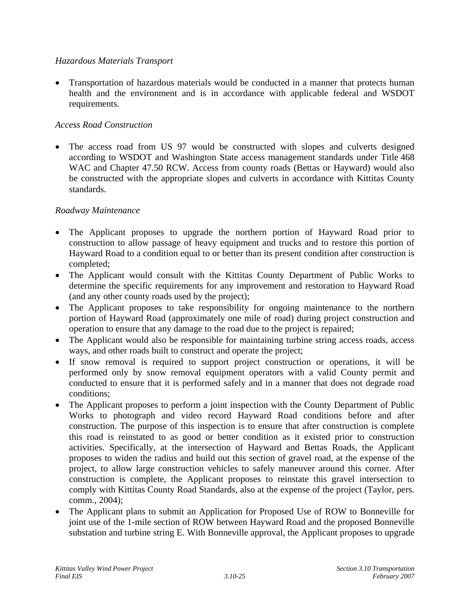# *Hazardous Materials Transport*

• Transportation of hazardous materials would be conducted in a manner that protects human health and the environment and is in accordance with applicable federal and WSDOT requirements.

# *Access Road Construction*

The access road from US 97 would be constructed with slopes and culverts designed according to WSDOT and Washington State access management standards under Title 468 WAC and Chapter 47.50 RCW. Access from county roads (Bettas or Hayward) would also be constructed with the appropriate slopes and culverts in accordance with Kittitas County standards.

# *Roadway Maintenance*

- The Applicant proposes to upgrade the northern portion of Hayward Road prior to construction to allow passage of heavy equipment and trucks and to restore this portion of Hayward Road to a condition equal to or better than its present condition after construction is completed;
- The Applicant would consult with the Kittitas County Department of Public Works to determine the specific requirements for any improvement and restoration to Hayward Road (and any other county roads used by the project);
- The Applicant proposes to take responsibility for ongoing maintenance to the northern portion of Hayward Road (approximately one mile of road) during project construction and operation to ensure that any damage to the road due to the project is repaired;
- The Applicant would also be responsible for maintaining turbine string access roads, access ways, and other roads built to construct and operate the project;
- If snow removal is required to support project construction or operations, it will be performed only by snow removal equipment operators with a valid County permit and conducted to ensure that it is performed safely and in a manner that does not degrade road conditions;
- The Applicant proposes to perform a joint inspection with the County Department of Public Works to photograph and video record Hayward Road conditions before and after construction. The purpose of this inspection is to ensure that after construction is complete this road is reinstated to as good or better condition as it existed prior to construction activities. Specifically, at the intersection of Hayward and Bettas Roads, the Applicant proposes to widen the radius and build out this section of gravel road, at the expense of the project, to allow large construction vehicles to safely maneuver around this corner. After construction is complete, the Applicant proposes to reinstate this gravel intersection to comply with Kittitas County Road Standards, also at the expense of the project (Taylor, pers. comm., 2004);
- The Applicant plans to submit an Application for Proposed Use of ROW to Bonneville for joint use of the 1-mile section of ROW between Hayward Road and the proposed Bonneville substation and turbine string E. With Bonneville approval, the Applicant proposes to upgrade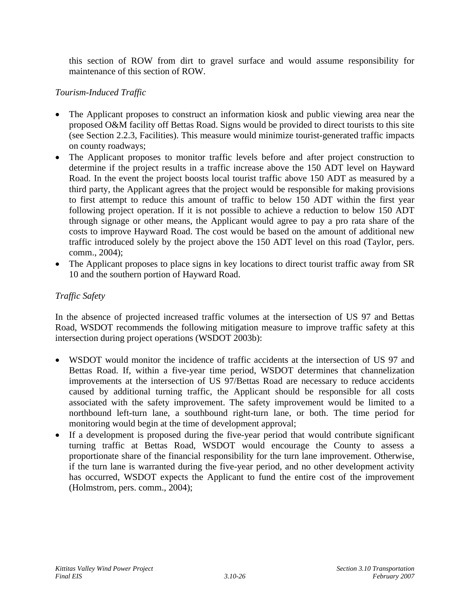this section of ROW from dirt to gravel surface and would assume responsibility for maintenance of this section of ROW.

# *Tourism-Induced Traffic*

- The Applicant proposes to construct an information kiosk and public viewing area near the proposed O&M facility off Bettas Road. Signs would be provided to direct tourists to this site (see Section 2.2.3, Facilities). This measure would minimize tourist-generated traffic impacts on county roadways;
- The Applicant proposes to monitor traffic levels before and after project construction to determine if the project results in a traffic increase above the 150 ADT level on Hayward Road. In the event the project boosts local tourist traffic above 150 ADT as measured by a third party, the Applicant agrees that the project would be responsible for making provisions to first attempt to reduce this amount of traffic to below 150 ADT within the first year following project operation. If it is not possible to achieve a reduction to below 150 ADT through signage or other means, the Applicant would agree to pay a pro rata share of the costs to improve Hayward Road. The cost would be based on the amount of additional new traffic introduced solely by the project above the 150 ADT level on this road (Taylor, pers. comm., 2004);
- The Applicant proposes to place signs in key locations to direct tourist traffic away from SR 10 and the southern portion of Hayward Road.

# *Traffic Safety*

In the absence of projected increased traffic volumes at the intersection of US 97 and Bettas Road, WSDOT recommends the following mitigation measure to improve traffic safety at this intersection during project operations (WSDOT 2003b):

- WSDOT would monitor the incidence of traffic accidents at the intersection of US 97 and Bettas Road. If, within a five-year time period, WSDOT determines that channelization improvements at the intersection of US 97/Bettas Road are necessary to reduce accidents caused by additional turning traffic, the Applicant should be responsible for all costs associated with the safety improvement. The safety improvement would be limited to a northbound left-turn lane, a southbound right-turn lane, or both. The time period for monitoring would begin at the time of development approval;
- If a development is proposed during the five-year period that would contribute significant turning traffic at Bettas Road, WSDOT would encourage the County to assess a proportionate share of the financial responsibility for the turn lane improvement. Otherwise, if the turn lane is warranted during the five-year period, and no other development activity has occurred, WSDOT expects the Applicant to fund the entire cost of the improvement (Holmstrom, pers. comm., 2004);